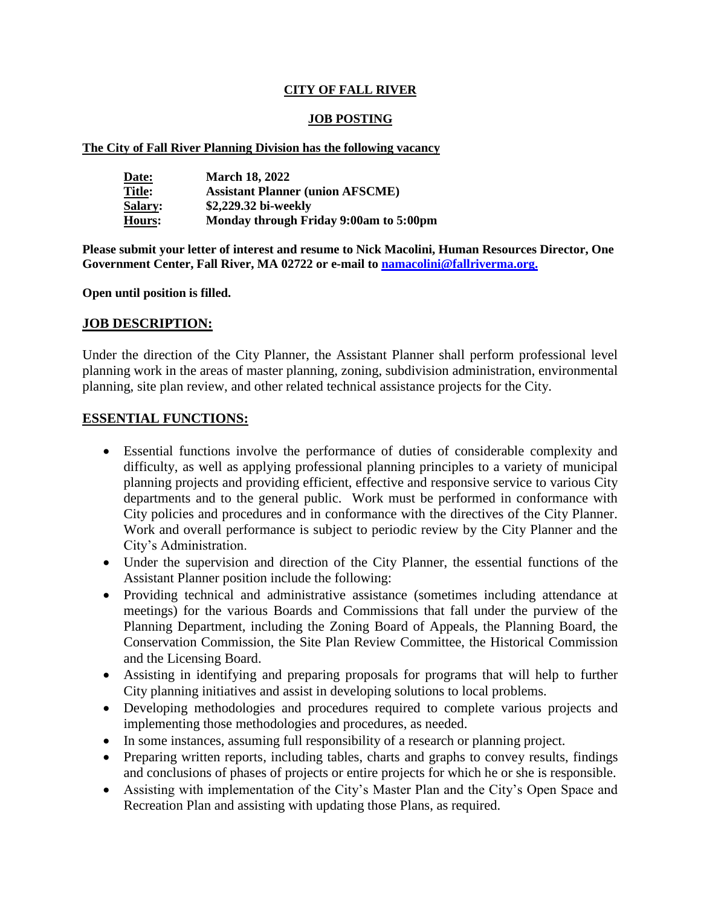## **CITY OF FALL RIVER**

### **JOB POSTING**

#### **The City of Fall River Planning Division has the following vacancy**

| Date:          | <b>March 18, 2022</b>                   |
|----------------|-----------------------------------------|
| <b>Title:</b>  | <b>Assistant Planner (union AFSCME)</b> |
| <b>Salary:</b> | \$2,229.32 bi-weekly                    |
| Hours:         | Monday through Friday 9:00am to 5:00pm  |

**Please submit your letter of interest and resume to Nick Macolini, Human Resources Director, One Government Center, Fall River, MA 02722 or e-mail to [namacolini@fallriverma.org.](mailto:namacolini@fallriverma.org.)**

**Open until position is filled.**

## **JOB DESCRIPTION:**

Under the direction of the City Planner, the Assistant Planner shall perform professional level planning work in the areas of master planning, zoning, subdivision administration, environmental planning, site plan review, and other related technical assistance projects for the City.

#### **ESSENTIAL FUNCTIONS:**

- Essential functions involve the performance of duties of considerable complexity and difficulty, as well as applying professional planning principles to a variety of municipal planning projects and providing efficient, effective and responsive service to various City departments and to the general public. Work must be performed in conformance with City policies and procedures and in conformance with the directives of the City Planner. Work and overall performance is subject to periodic review by the City Planner and the City's Administration.
- Under the supervision and direction of the City Planner, the essential functions of the Assistant Planner position include the following:
- Providing technical and administrative assistance (sometimes including attendance at meetings) for the various Boards and Commissions that fall under the purview of the Planning Department, including the Zoning Board of Appeals, the Planning Board, the Conservation Commission, the Site Plan Review Committee, the Historical Commission and the Licensing Board.
- Assisting in identifying and preparing proposals for programs that will help to further City planning initiatives and assist in developing solutions to local problems.
- Developing methodologies and procedures required to complete various projects and implementing those methodologies and procedures, as needed.
- In some instances, assuming full responsibility of a research or planning project.
- Preparing written reports, including tables, charts and graphs to convey results, findings and conclusions of phases of projects or entire projects for which he or she is responsible.
- Assisting with implementation of the City's Master Plan and the City's Open Space and Recreation Plan and assisting with updating those Plans, as required.